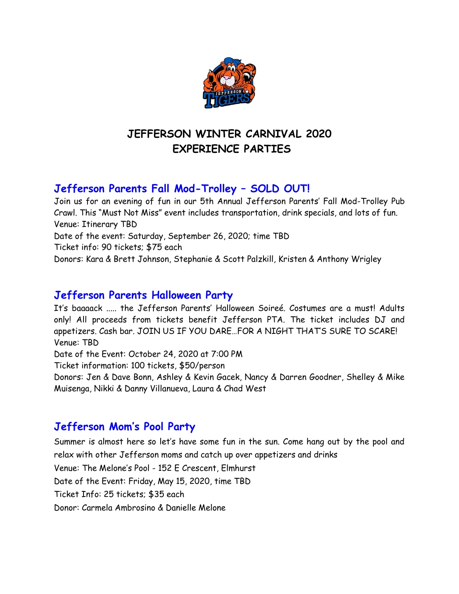

# **JEFFERSON WINTER CARNIVAL 2020 EXPERIENCE PARTIES**

# **Jefferson Parents Fall Mod-Trolley – SOLD OUT!**

Join us for an evening of fun in our 5th Annual Jefferson Parents' Fall Mod-Trolley Pub Crawl. This "Must Not Miss" event includes transportation, drink specials, and lots of fun. Venue: Itinerary TBD Date of the event: Saturday, September 26, 2020; time TBD Ticket info: 90 tickets; \$75 each Donors: Kara & Brett Johnson, Stephanie & Scott Palzkill, Kristen & Anthony Wrigley

## **Jefferson Parents Halloween Party**

It's baaaack ..... the Jefferson Parents' Halloween Soireé. Costumes are a must! Adults only! All proceeds from tickets benefit Jefferson PTA. The ticket includes DJ and appetizers. Cash bar. JOIN US IF YOU DARE…FOR A NIGHT THAT'S SURE TO SCARE! Venue: TBD Date of the Event: October 24, 2020 at 7:00 PM Ticket information: 100 tickets, \$50/person

Donors: Jen & Dave Bonn, Ashley & Kevin Gacek, Nancy & Darren Goodner, Shelley & Mike Muisenga, Nikki & Danny Villanueva, Laura & Chad West

# **Jefferson Mom's Pool Party**

Summer is almost here so let's have some fun in the sun. Come hang out by the pool and relax with other Jefferson moms and catch up over appetizers and drinks Venue: The Melone's Pool - 152 E Crescent, Elmhurst

Date of the Event: Friday, May 15, 2020, time TBD

Ticket Info: 25 tickets; \$35 each

Donor: Carmela Ambrosino & Danielle Melone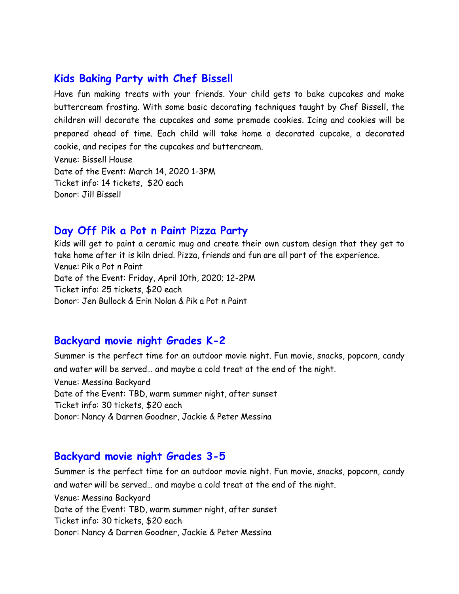### **Kids Baking Party with Chef Bissell**

Have fun making treats with your friends. Your child gets to bake cupcakes and make buttercream frosting. With some basic decorating techniques taught by Chef Bissell, the children will decorate the cupcakes and some premade cookies. Icing and cookies will be prepared ahead of time. Each child will take home a decorated cupcake, a decorated cookie, and recipes for the cupcakes and buttercream. Venue: Bissell House

Date of the Event: March 14, 2020 1-3PM Ticket info: 14 tickets, \$20 each Donor: Jill Bissell

#### **Day Off Pik a Pot n Paint Pizza Party**

Kids will get to paint a ceramic mug and create their own custom design that they get to take home after it is kiln dried. Pizza, friends and fun are all part of the experience. Venue: Pik a Pot n Paint Date of the Event: Friday, April 10th, 2020; 12-2PM Ticket info: 25 tickets, \$20 each Donor: Jen Bullock & Erin Nolan & Pik a Pot n Paint

## **Backyard movie night Grades K-2**

Summer is the perfect time for an outdoor movie night. Fun movie, snacks, popcorn, candy and water will be served… and maybe a cold treat at the end of the night.

Venue: Messina Backyard Date of the Event: TBD, warm summer night, after sunset Ticket info: 30 tickets, \$20 each Donor: Nancy & Darren Goodner, Jackie & Peter Messina

#### **Backyard movie night Grades 3-5**

Summer is the perfect time for an outdoor movie night. Fun movie, snacks, popcorn, candy and water will be served… and maybe a cold treat at the end of the night. Venue: Messina Backyard Date of the Event: TBD, warm summer night, after sunset Ticket info: 30 tickets, \$20 each Donor: Nancy & Darren Goodner, Jackie & Peter Messina